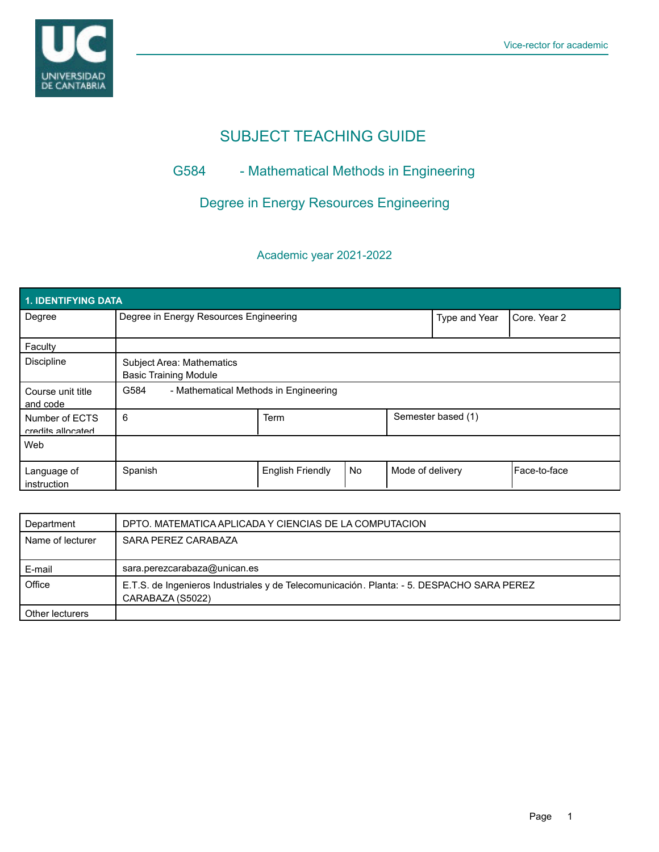

# SUBJECT TEACHING GUIDE

## G584 - Mathematical Methods in Engineering

## Degree in Energy Resources Engineering

### Academic year 2021-2022

| 1. IDENTIFYING DATA                 |                                                                  |                         |           |                    |              |              |  |  |  |
|-------------------------------------|------------------------------------------------------------------|-------------------------|-----------|--------------------|--------------|--------------|--|--|--|
| Degree                              | Degree in Energy Resources Engineering                           |                         |           | Type and Year      | Core, Year 2 |              |  |  |  |
| Faculty                             |                                                                  |                         |           |                    |              |              |  |  |  |
| <b>Discipline</b>                   | <b>Subject Area: Mathematics</b><br><b>Basic Training Module</b> |                         |           |                    |              |              |  |  |  |
| Course unit title<br>and code       | G584<br>- Mathematical Methods in Engineering                    |                         |           |                    |              |              |  |  |  |
| Number of ECTS<br>credits allocated | 6                                                                | Term                    |           | Semester based (1) |              |              |  |  |  |
| Web                                 |                                                                  |                         |           |                    |              |              |  |  |  |
| Language of<br>instruction          | Spanish                                                          | <b>English Friendly</b> | <b>No</b> | Mode of delivery   |              | Face-to-face |  |  |  |

| Department       | DPTO, MATEMATICA APLICADA Y CIENCIAS DE LA COMPUTACION                                                        |
|------------------|---------------------------------------------------------------------------------------------------------------|
| Name of lecturer | SARA PEREZ CARABAZA                                                                                           |
|                  |                                                                                                               |
| E-mail           | sara.perezcarabaza@unican.es                                                                                  |
| Office           | E.T.S. de Ingenieros Industriales y de Telecomunicación. Planta: - 5. DESPACHO SARA PEREZ<br>CARABAZA (S5022) |
| Other lecturers  |                                                                                                               |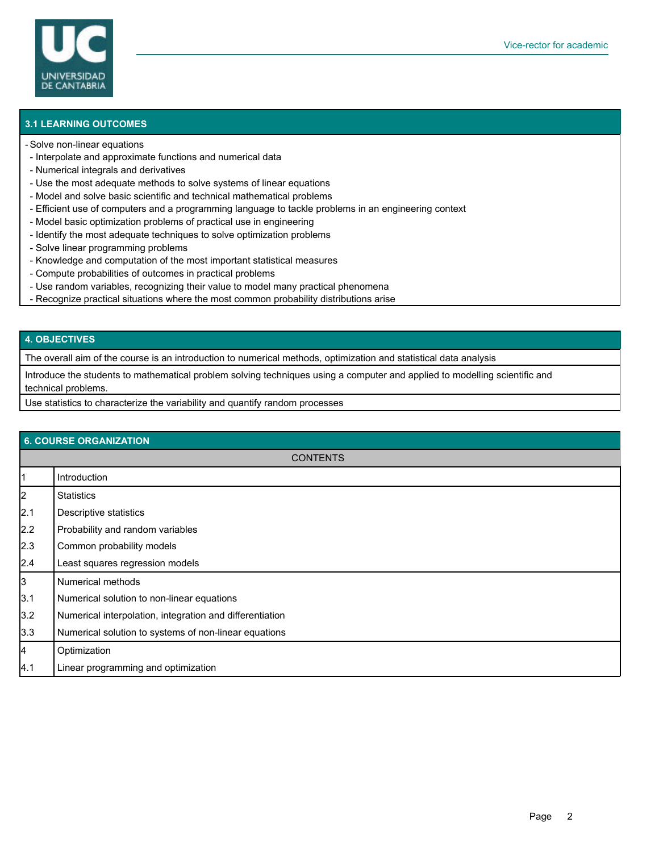

#### **3.1 LEARNING OUTCOMES**

#### Solve non-linear equations -

- Interpolate and approximate functions and numerical data
- Numerical integrals and derivatives
- Use the most adequate methods to solve systems of linear equations
- Model and solve basic scientific and technical mathematical problems
- Efficient use of computers and a programming language to tackle problems in an engineering context
- Model basic optimization problems of practical use in engineering
- Identify the most adequate techniques to solve optimization problems
- Solve linear programming problems
- Knowledge and computation of the most important statistical measures
- Compute probabilities of outcomes in practical problems
- Use random variables, recognizing their value to model many practical phenomena
- Recognize practical situations where the most common probability distributions arise

#### **4. OBJECTIVES**

The overall aim of the course is an introduction to numerical methods, optimization and statistical data analysis

Introduce the students to mathematical problem solving techniques using a computer and applied to modelling scientific and technical problems.

Use statistics to characterize the variability and quantify random processes

| <b>6. COURSE ORGANIZATION</b> |                                                          |  |  |  |
|-------------------------------|----------------------------------------------------------|--|--|--|
| <b>CONTENTS</b>               |                                                          |  |  |  |
| 11                            | Introduction                                             |  |  |  |
| $\vert$ 2                     | <b>Statistics</b>                                        |  |  |  |
| 2.1                           | Descriptive statistics                                   |  |  |  |
| 2.2                           | Probability and random variables                         |  |  |  |
| 2.3                           | Common probability models                                |  |  |  |
| 2.4                           | Least squares regression models                          |  |  |  |
| 3                             | <b>Numerical methods</b>                                 |  |  |  |
| 3.1                           | Numerical solution to non-linear equations               |  |  |  |
| 3.2                           | Numerical interpolation, integration and differentiation |  |  |  |
| 3.3                           | Numerical solution to systems of non-linear equations    |  |  |  |
| 4                             | Optimization                                             |  |  |  |
| 4.1                           | Linear programming and optimization                      |  |  |  |